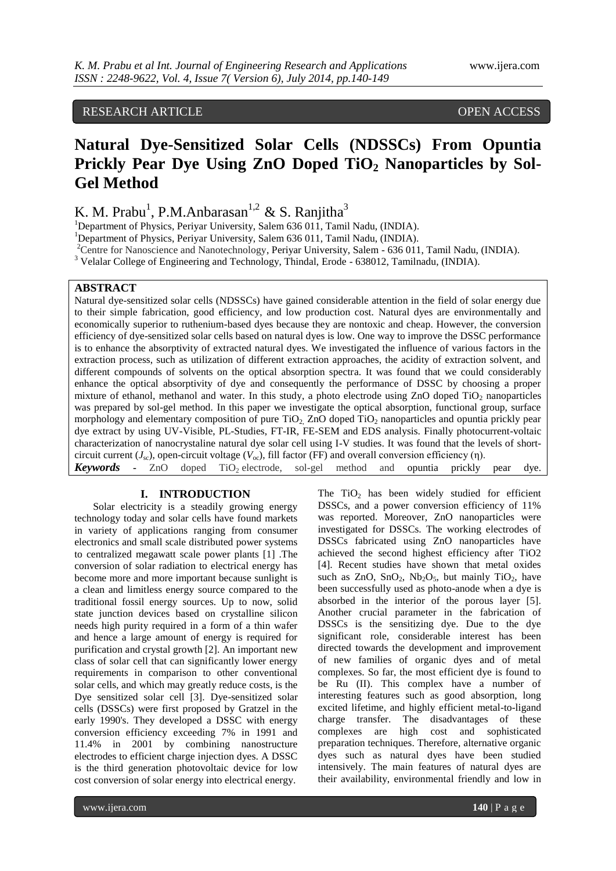# RESEARCH ARTICLE OPEN ACCESS

# **Natural Dye-Sensitized Solar Cells (NDSSCs) From Opuntia Prickly Pear Dye Using ZnO Doped TiO<sup>2</sup> Nanoparticles by Sol-Gel Method**

K. M. Prabu<sup>1</sup>, P.M.Anbarasan<sup>1,2</sup> & S. Ranjitha<sup>3</sup>

<sup>1</sup>Department of Physics, Periyar University, Salem 636 011, Tamil Nadu, (INDIA).

<sup>1</sup>Department of Physics, Periyar University, Salem 636 011, Tamil Nadu, (INDIA).

<sup>2</sup>Centre for Nanoscience and Nanotechnology, Periyar University, Salem - 636 011, Tamil Nadu, (INDIA).

<sup>3</sup> Velalar College of Engineering and Technology, Thindal, Erode - 638012, Tamilnadu, (INDIA).

# **ABSTRACT**

Natural dye-sensitized solar cells (NDSSCs) have gained considerable attention in the field of solar energy due to their simple fabrication, good efficiency, and low production cost. Natural dyes are environmentally and economically superior to ruthenium-based dyes because they are nontoxic and cheap. However, the conversion efficiency of dye-sensitized solar cells based on natural dyes is low. One way to improve the DSSC performance is to enhance the absorptivity of extracted natural dyes. We investigated the influence of various factors in the extraction process, such as utilization of different extraction approaches, the acidity of extraction solvent, and different compounds of solvents on the optical absorption spectra. It was found that we could considerably enhance the optical absorptivity of dye and consequently the performance of DSSC by choosing a proper mixture of ethanol, methanol and water. In this study, a photo electrode using  $ZnO$  doped  $TiO<sub>2</sub>$  nanoparticles was prepared by sol-gel method. In this paper we investigate the optical absorption, functional group, surface morphology and elementary composition of pure  $TiO<sub>2</sub>$  ZnO doped  $TiO<sub>2</sub>$  nanoparticles and opuntia prickly pear dye extract by using UV-Visible, PL-Studies, FT-IR, FE-SEM and EDS analysis. Finally photocurrent-voltaic characterization of nanocrystaline natural dye solar cell using I-V studies. It was found that the levels of shortcircuit current ( $J<sub>sc</sub>$ ), open-circuit voltage ( $V<sub>oc</sub>$ ), fill factor (FF) and overall conversion efficiency (η). *Keywords* **-** ZnO doped TiO<sub>2</sub> electrode, sol-gel method and opuntia prickly pear dye.

#### **I. INTRODUCTION**

Solar electricity is a steadily growing energy technology today and solar cells have found markets in variety of applications ranging from consumer electronics and small scale distributed power systems to centralized megawatt scale power plants [1] .The conversion of solar radiation to electrical energy has become more and more important because sunlight is a clean and limitless energy source compared to the traditional fossil energy sources. Up to now, solid state junction devices based on crystalline silicon needs high purity required in a form of a thin wafer and hence a large amount of energy is required for purification and crystal growth [2]. An important new class of solar cell that can significantly lower energy requirements in comparison to other conventional solar cells, and which may greatly reduce costs, is the Dye sensitized solar cell [3]. Dye-sensitized solar cells (DSSCs) were first proposed by Gratzel in the early 1990's. They developed a DSSC with energy conversion efficiency exceeding 7% in 1991 and 11.4% in 2001 by combining nanostructure electrodes to efficient charge injection dyes. A DSSC is the third generation photovoltaic device for low cost conversion of solar energy into electrical energy.

The  $TiO<sub>2</sub>$  has been widely studied for efficient DSSCs, and a power conversion efficiency of 11% was reported. Moreover, ZnO nanoparticles were investigated for DSSCs. The working electrodes of DSSCs fabricated using ZnO nanoparticles have achieved the second highest efficiency after TiO2 [4]. Recent studies have shown that metal oxides such as  $ZnO$ ,  $SnO<sub>2</sub>$ ,  $Nb<sub>2</sub>O<sub>5</sub>$ , but mainly  $TiO<sub>2</sub>$ , have been successfully used as photo-anode when a dye is absorbed in the interior of the porous layer [5]. Another crucial parameter in the fabrication of DSSCs is the sensitizing dye. Due to the dye significant role, considerable interest has been directed towards the development and improvement of new families of organic dyes and of metal complexes. So far, the most efficient dye is found to be Ru (II). This complex have a number of interesting features such as good absorption, long excited lifetime, and highly efficient metal-to-ligand charge transfer. The disadvantages of these complexes are high cost and sophisticated preparation techniques. Therefore, alternative organic dyes such as natural dyes have been studied intensively. The main features of natural dyes are their availability, environmental friendly and low in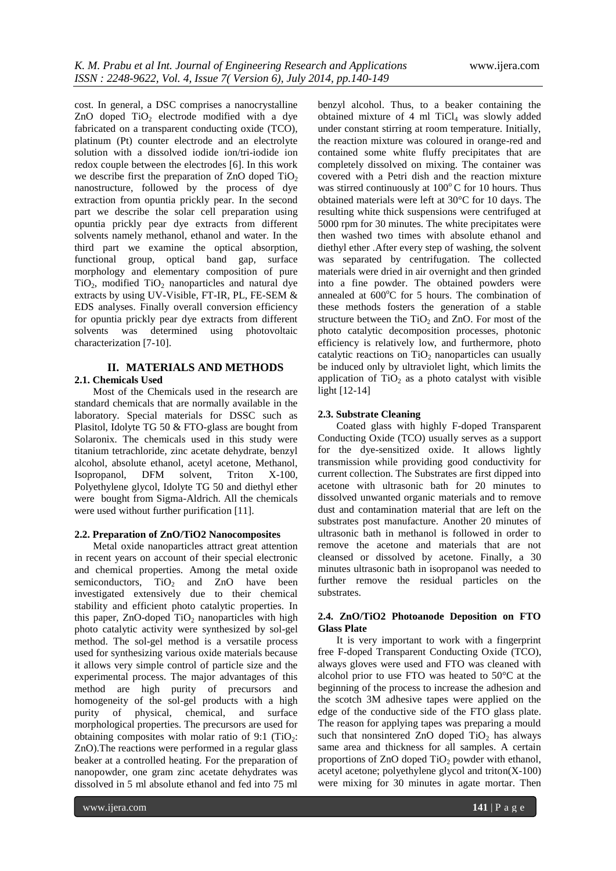cost. In general, a DSC comprises a nanocrystalline ZnO doped  $TiO<sub>2</sub>$  electrode modified with a dye fabricated on a transparent conducting oxide (TCO), platinum (Pt) counter electrode and an electrolyte solution with a dissolved iodide ion/tri-iodide ion redox couple between the electrodes [6]. In this work we describe first the preparation of  $ZnO$  doped  $TiO<sub>2</sub>$ nanostructure, followed by the process of dye extraction from opuntia prickly pear. In the second part we describe the solar cell preparation using opuntia prickly pear dye extracts from different solvents namely methanol, ethanol and water. In the third part we examine the optical absorption, functional group, optical band gap, surface morphology and elementary composition of pure  $TiO<sub>2</sub>$ , modified  $TiO<sub>2</sub>$  nanoparticles and natural dye extracts by using UV-Visible, FT-IR, PL, FE-SEM & EDS analyses. Finally overall conversion efficiency for opuntia prickly pear dye extracts from different solvents was determined using photovoltaic characterization [7-10].

# **II. MATERIALS AND METHODS 2.1. Chemicals Used**

Most of the Chemicals used in the research are standard chemicals that are normally available in the laboratory. Special materials for DSSC such as Plasitol, Idolyte TG 50 & FTO-glass are bought from Solaronix. The chemicals used in this study were titanium tetrachloride, zinc acetate dehydrate, benzyl alcohol, absolute ethanol, acetyl acetone, Methanol, Isopropanol, DFM solvent, Triton X-100, Polyethylene glycol, Idolyte TG 50 and diethyl ether were bought from Sigma-Aldrich. All the chemicals were used without further purification [11].

## **2.2. Preparation of ZnO/TiO2 Nanocomposites**

Metal oxide nanoparticles attract great attention in recent years on account of their special electronic and chemical properties. Among the metal oxide semiconductors,  $TiO<sub>2</sub>$  and  $ZnO$  have been investigated extensively due to their chemical stability and efficient photo catalytic properties. In this paper,  $ZnO$ -doped  $TiO<sub>2</sub>$  nanoparticles with high photo catalytic activity were synthesized by sol-gel method. The sol-gel method is a versatile process used for synthesizing various oxide materials because it allows very simple control of particle size and the experimental process. The major advantages of this method are high purity of precursors and homogeneity of the sol-gel products with a high purity of physical, chemical, and surface morphological properties. The precursors are used for obtaining composites with molar ratio of 9:1 (TiO<sub>2</sub>: ZnO).The reactions were performed in a regular glass beaker at a controlled heating. For the preparation of nanopowder, one gram zinc acetate dehydrates was dissolved in 5 ml absolute ethanol and fed into 75 ml

benzyl alcohol. Thus, to a beaker containing the obtained mixture of 4 ml  $TiCl<sub>4</sub>$  was slowly added under constant stirring at room temperature. Initially, the reaction mixture was coloured in orange-red and contained some white fluffy precipitates that are completely dissolved on mixing. The container was covered with a Petri dish and the reaction mixture was stirred continuously at  $100^{\circ}$ C for 10 hours. Thus obtained materials were left at 30°C for 10 days. The resulting white thick suspensions were centrifuged at 5000 rpm for 30 minutes. The white precipitates were then washed two times with absolute ethanol and diethyl ether .After every step of washing, the solvent was separated by centrifugation. The collected materials were dried in air overnight and then grinded into a fine powder. The obtained powders were annealed at  $600^{\circ}$ C for 5 hours. The combination of these methods fosters the generation of a stable structure between the  $TiO<sub>2</sub>$  and ZnO. For most of the photo catalytic decomposition processes, photonic efficiency is relatively low, and furthermore, photo catalytic reactions on  $TiO<sub>2</sub>$  nanoparticles can usually be induced only by ultraviolet light, which limits the application of  $TiO<sub>2</sub>$  as a photo catalyst with visible light [12-14]

# **2.3. Substrate Cleaning**

Coated glass with highly F-doped Transparent Conducting Oxide (TCO) usually serves as a support for the dye-sensitized oxide. It allows lightly transmission while providing good conductivity for current collection. The Substrates are first dipped into acetone with ultrasonic bath for 20 minutes to dissolved unwanted organic materials and to remove dust and contamination material that are left on the substrates post manufacture. Another 20 minutes of ultrasonic bath in methanol is followed in order to remove the acetone and materials that are not cleansed or dissolved by acetone. Finally, a 30 minutes ultrasonic bath in isopropanol was needed to further remove the residual particles on the substrates.

# **2.4. ZnO/TiO2 Photoanode Deposition on FTO Glass Plate**

It is very important to work with a fingerprint free F-doped Transparent Conducting Oxide (TCO), always gloves were used and FTO was cleaned with alcohol prior to use FTO was heated to 50°C at the beginning of the process to increase the adhesion and the scotch 3M adhesive tapes were applied on the edge of the conductive side of the FTO glass plate. The reason for applying tapes was preparing a mould such that nonsintered ZnO doped  $TiO<sub>2</sub>$  has always same area and thickness for all samples. A certain proportions of  $ZnO$  doped  $TiO<sub>2</sub>$  powder with ethanol, acetyl acetone; polyethylene glycol and triton(X-100) were mixing for 30 minutes in agate mortar. Then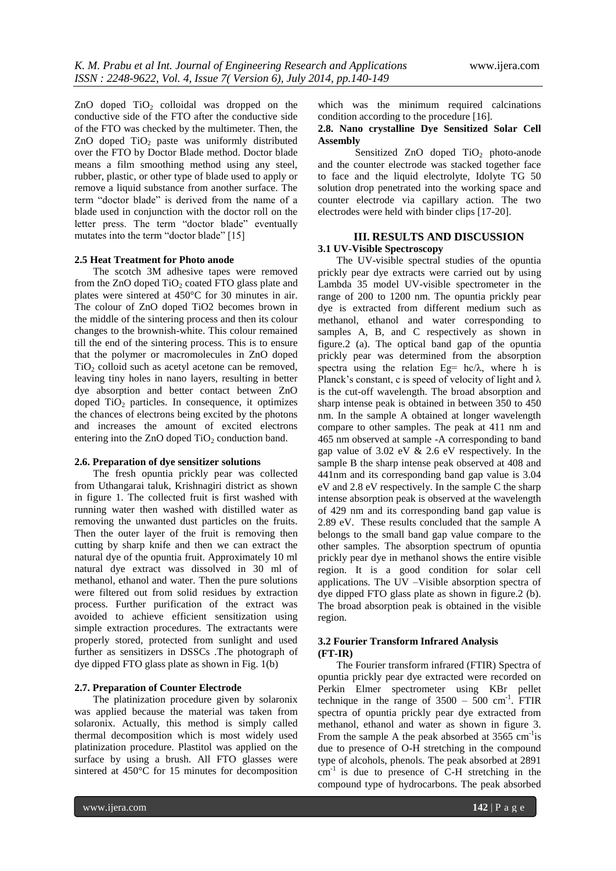ZnO doped  $TiO<sub>2</sub>$  colloidal was dropped on the conductive side of the FTO after the conductive side of the FTO was checked by the multimeter. Then, the ZnO doped  $TiO<sub>2</sub>$  paste was uniformly distributed over the FTO by Doctor Blade method. Doctor blade means a film smoothing method using any steel, rubber, plastic, or other type of blade used to apply or remove a liquid substance from another surface. The term "doctor blade" is derived from the name of a blade used in conjunction with the doctor roll on the letter press. The term "doctor blade" eventually mutates into the term "doctor blade" [15]

#### **2.5 Heat Treatment for Photo anode**

The scotch 3M adhesive tapes were removed from the ZnO doped  $TiO<sub>2</sub>$  coated FTO glass plate and plates were sintered at 450°C for 30 minutes in air. The colour of ZnO doped TiO2 becomes brown in the middle of the sintering process and then its colour changes to the brownish-white. This colour remained till the end of the sintering process. This is to ensure that the polymer or macromolecules in ZnO doped  $TiO<sub>2</sub>$  colloid such as acetyl acetone can be removed, leaving tiny holes in nano layers, resulting in better dye absorption and better contact between ZnO doped  $TiO<sub>2</sub>$  particles. In consequence, it optimizes the chances of electrons being excited by the photons and increases the amount of excited electrons entering into the ZnO doped  $TiO<sub>2</sub>$  conduction band.

## **2.6. Preparation of dye sensitizer solutions**

The fresh opuntia prickly pear was collected from Uthangarai taluk, Krishnagiri district as shown in figure 1. The collected fruit is first washed with running water then washed with distilled water as removing the unwanted dust particles on the fruits. Then the outer layer of the fruit is removing then cutting by sharp knife and then we can extract the natural dye of the opuntia fruit. Approximately 10 ml natural dye extract was dissolved in 30 ml of methanol, ethanol and water. Then the pure solutions were filtered out from solid residues by extraction process. Further purification of the extract was avoided to achieve efficient sensitization using simple extraction procedures. The extractants were properly stored, protected from sunlight and used further as sensitizers in DSSCs .The photograph of dye dipped FTO glass plate as shown in Fig. 1(b)

#### **2.7. Preparation of Counter Electrode**

The platinization procedure given by solaronix was applied because the material was taken from solaronix. Actually, this method is simply called thermal decomposition which is most widely used platinization procedure. Plastitol was applied on the surface by using a brush. All FTO glasses were sintered at 450°C for 15 minutes for decomposition

which was the minimum required calcinations condition according to the procedure [16].

# **2.8. Nano crystalline Dye Sensitized Solar Cell Assembly**

Sensitized ZnO doped TiO<sub>2</sub> photo-anode and the counter electrode was stacked together face to face and the liquid electrolyte, Idolyte TG 50 solution drop penetrated into the working space and counter electrode via capillary action. The two electrodes were held with binder clips [17-20].

# **III. RESULTS AND DISCUSSION 3.1 UV-Visible Spectroscopy**

The UV-visible spectral studies of the opuntia prickly pear dye extracts were carried out by using Lambda 35 model UV-visible spectrometer in the range of 200 to 1200 nm. The opuntia prickly pear dye is extracted from different medium such as methanol, ethanol and water corresponding to samples A, B, and C respectively as shown in figure.2 (a). The optical band gap of the opuntia prickly pear was determined from the absorption spectra using the relation Eg=  $hc/\lambda$ , where h is Planck's constant, c is speed of velocity of light and  $\lambda$ is the cut-off wavelength. The broad absorption and sharp intense peak is obtained in between 350 to 450 nm. In the sample A obtained at longer wavelength compare to other samples. The peak at 411 nm and 465 nm observed at sample -A corresponding to band gap value of 3.02 eV & 2.6 eV respectively. In the sample B the sharp intense peak observed at 408 and 441nm and its corresponding band gap value is 3.04 eV and 2.8 eV respectively. In the sample C the sharp intense absorption peak is observed at the wavelength of 429 nm and its corresponding band gap value is 2.89 eV. These results concluded that the sample A belongs to the small band gap value compare to the other samples. The absorption spectrum of opuntia prickly pear dye in methanol shows the entire visible region. It is a good condition for solar cell applications. The UV –Visible absorption spectra of dye dipped FTO glass plate as shown in figure.2 (b). The broad absorption peak is obtained in the visible region.

## **3.2 Fourier Transform Infrared Analysis (FT-IR)**

The Fourier transform infrared (FTIR) Spectra of opuntia prickly pear dye extracted were recorded on Perkin Elmer spectrometer using KBr pellet technique in the range of  $3500 - 500$  cm<sup>-1</sup>. FTIR spectra of opuntia prickly pear dye extracted from methanol, ethanol and water as shown in figure 3. From the sample A the peak absorbed at  $3565 \text{ cm}^{-1}\text{is}$ due to presence of O-H stretching in the compound type of alcohols, phenols. The peak absorbed at 2891 cm<sup>-1</sup> is due to presence of C-H stretching in the compound type of hydrocarbons. The peak absorbed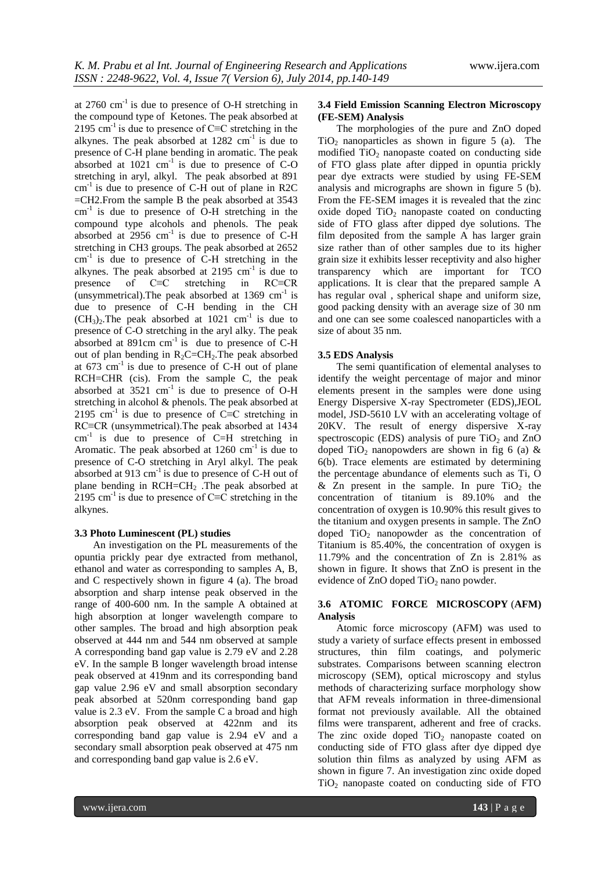at  $2760 \text{ cm}^{-1}$  is due to presence of O-H stretching in the compound type of Ketones. The peak absorbed at 2195 cm<sup>-1</sup> is due to presence of C≡C stretching in the alkynes. The peak absorbed at  $1282 \text{ cm}^{-1}$  is due to presence of C-H plane bending in aromatic. The peak absorbed at  $1021 \text{ cm}^{-1}$  is due to presence of C-O stretching in aryl, alkyl. The peak absorbed at 891  $cm<sup>-1</sup>$  is due to presence of C-H out of plane in R2C =CH2.From the sample B the peak absorbed at 3543  $cm<sup>-1</sup>$  is due to presence of O-H stretching in the compound type alcohols and phenols. The peak absorbed at  $2956 \text{ cm}^{-1}$  is due to presence of C-H stretching in CH3 groups. The peak absorbed at 2652  $cm<sup>-1</sup>$  is due to presence of C-H stretching in the alkynes. The peak absorbed at  $2195 \text{ cm}^{-1}$  is due to presence of C≡C stretching in RC≡CR (unsymmetrical). The peak absorbed at  $1369 \text{ cm}^{-1}$  is due to presence of C-H bending in the CH  $(CH<sub>3</sub>)<sub>2</sub>$ . The peak absorbed at 1021 cm<sup>-1</sup> is due to presence of C-O stretching in the aryl alky. The peak absorbed at  $891 \text{cm cm}^{-1}$  is due to presence of C-H out of plan bending in  $R_2C=CH_2$ . The peak absorbed at  $673 \text{ cm}^{-1}$  is due to presence of C-H out of plane RCH=CHR (cis). From the sample C, the peak absorbed at  $3521 \text{ cm}^{-1}$  is due to presence of O-H stretching in alcohol & phenols. The peak absorbed at 2195 cm<sup>-1</sup> is due to presence of C≡C stretching in RC≡CR (unsymmetrical).The peak absorbed at 1434  $cm<sup>-1</sup>$  is due to presence of C=H stretching in Aromatic. The peak absorbed at  $1260 \text{ cm}^{-1}$  is due to presence of C-O stretching in Aryl alkyl. The peak absorbed at  $913 \text{ cm}^{-1}$  is due to presence of C-H out of plane bending in RCH=CH<sup>2</sup> .The peak absorbed at 2195 cm<sup>-1</sup> is due to presence of C≡C stretching in the alkynes.

#### **3.3 Photo Luminescent (PL) studies**

An investigation on the PL measurements of the opuntia prickly pear dye extracted from methanol, ethanol and water as corresponding to samples A, B, and C respectively shown in figure 4 (a). The broad absorption and sharp intense peak observed in the range of 400-600 nm. In the sample A obtained at high absorption at longer wavelength compare to other samples. The broad and high absorption peak observed at 444 nm and 544 nm observed at sample A corresponding band gap value is 2.79 eV and 2.28 eV. In the sample B longer wavelength broad intense peak observed at 419nm and its corresponding band gap value 2.96 eV and small absorption secondary peak absorbed at 520nm corresponding band gap value is 2.3 eV. From the sample C a broad and high absorption peak observed at 422nm and its corresponding band gap value is 2.94 eV and a secondary small absorption peak observed at 475 nm and corresponding band gap value is 2.6 eV.

## **3.4 Field Emission Scanning Electron Microscopy (FE-SEM) Analysis**

The morphologies of the pure and ZnO doped  $TiO<sub>2</sub>$  nanoparticles as shown in figure 5 (a). The modified  $TiO<sub>2</sub>$  nanopaste coated on conducting side of FTO glass plate after dipped in opuntia prickly pear dye extracts were studied by using FE-SEM analysis and micrographs are shown in figure 5 (b). From the FE-SEM images it is revealed that the zinc oxide doped  $TiO<sub>2</sub>$  nanopaste coated on conducting side of FTO glass after dipped dye solutions. The film deposited from the sample A has larger grain size rather than of other samples due to its higher grain size it exhibits lesser receptivity and also higher transparency which are important for TCO applications. It is clear that the prepared sample A has regular oval , spherical shape and uniform size, good packing density with an average size of 30 nm and one can see some coalesced nanoparticles with a size of about 35 nm.

#### **3.5 EDS Analysis**

The semi quantification of elemental analyses to identify the weight percentage of major and minor elements present in the samples were done using Energy Dispersive X-ray Spectrometer (EDS),JEOL model, JSD-5610 LV with an accelerating voltage of 20KV. The result of energy dispersive X-ray spectroscopic (EDS) analysis of pure  $TiO<sub>2</sub>$  and ZnO doped TiO<sub>2</sub> nanopowders are shown in fig 6 (a)  $\&$ 6(b). Trace elements are estimated by determining the percentage abundance of elements such as Ti, O & Zn present in the sample. In pure  $TiO<sub>2</sub>$  the concentration of titanium is 89.10% and the concentration of oxygen is 10.90% this result gives to the titanium and oxygen presents in sample. The ZnO doped  $TiO<sub>2</sub>$  nanopowder as the concentration of Titanium is 85.40%, the concentration of oxygen is 11.79% and the concentration of Zn is 2.81% as shown in figure. It shows that ZnO is present in the evidence of  $ZnO$  doped  $TiO<sub>2</sub>$  nano powder.

# **3.6 ATOMIC FORCE MICROSCOPY** (**AFM) Analysis**

Atomic force microscopy (AFM) was used to study a variety of surface effects present in embossed structures, thin film coatings, and polymeric substrates. Comparisons between scanning electron microscopy (SEM), optical microscopy and stylus methods of characterizing surface morphology show that AFM reveals information in three-dimensional format not previously available. All the obtained films were transparent, adherent and free of cracks. The zinc oxide doped  $TiO<sub>2</sub>$  nanopaste coated on conducting side of FTO glass after dye dipped dye solution thin films as analyzed by using AFM as shown in figure 7. An investigation zinc oxide doped  $TiO<sub>2</sub>$  nanopaste coated on conducting side of FTO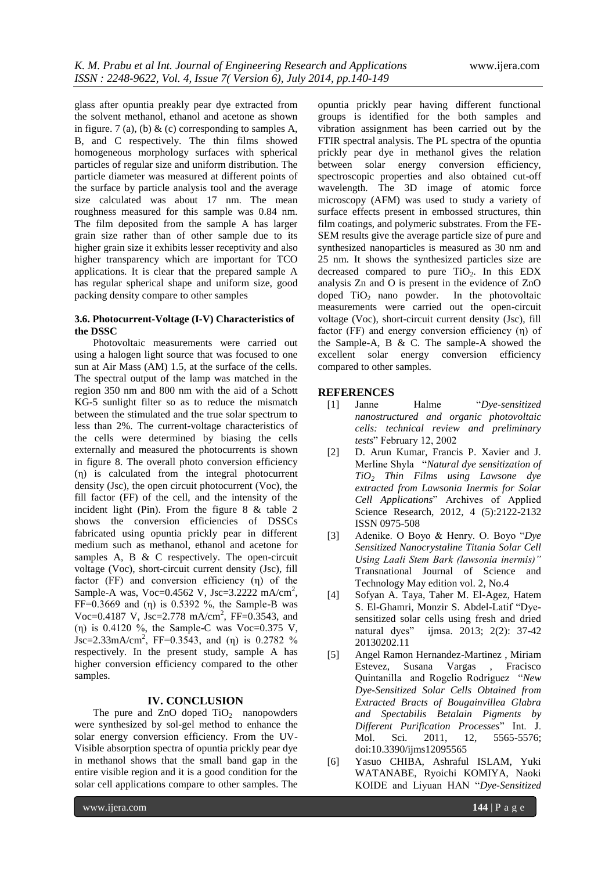glass after opuntia preakly pear dye extracted from the solvent methanol, ethanol and acetone as shown in figure. 7 (a), (b)  $\&$  (c) corresponding to samples A, B, and C respectively. The thin films showed homogeneous morphology surfaces with spherical particles of regular size and uniform distribution. The particle diameter was measured at different points of the surface by particle analysis tool and the average size calculated was about 17 nm. The mean roughness measured for this sample was 0.84 nm. The film deposited from the sample A has larger grain size rather than of other sample due to its higher grain size it exhibits lesser receptivity and also higher transparency which are important for TCO applications. It is clear that the prepared sample A has regular spherical shape and uniform size, good packing density compare to other samples

## **3.6. Photocurrent-Voltage (I-V) Characteristics of the DSSC**

Photovoltaic measurements were carried out using a halogen light source that was focused to one sun at Air Mass (AM) 1.5, at the surface of the cells. The spectral output of the lamp was matched in the region 350 nm and 800 nm with the aid of a Schott KG-5 sunlight filter so as to reduce the mismatch between the stimulated and the true solar spectrum to less than 2%. The current-voltage characteristics of the cells were determined by biasing the cells externally and measured the photocurrents is shown in figure 8. The overall photo conversion efficiency (η) is calculated from the integral photocurrent density (Jsc), the open circuit photocurrent (Voc), the fill factor (FF) of the cell, and the intensity of the incident light (Pin). From the figure 8 & table 2 shows the conversion efficiencies of DSSCs fabricated using opuntia prickly pear in different medium such as methanol, ethanol and acetone for samples A, B  $\&$  C respectively. The open-circuit voltage (Voc), short-circuit current density (Jsc), fill factor (FF) and conversion efficiency (η) of the Sample-A was, Voc=0.4562 V, Jsc=3.2222 mA/cm<sup>2</sup>, FF= $0.3669$  and  $(\eta)$  is 0.5392 %, the Sample-B was Voc=0.4187 V, Jsc=2.778 mA/cm<sup>2</sup>, FF=0.3543, and (η) is 0.4120 %, the Sample-C was Voc=0.375 V,  $Jsc=2.33 \text{mA/cm}^2$ , FF=0.3543, and (η) is 0.2782 % respectively. In the present study, sample A has higher conversion efficiency compared to the other samples.

# **IV. CONCLUSION**

The pure and  $ZnO$  doped  $TiO<sub>2</sub>$  nanopowders were synthesized by sol-gel method to enhance the solar energy conversion efficiency. From the UV-Visible absorption spectra of opuntia prickly pear dye in methanol shows that the small band gap in the entire visible region and it is a good condition for the solar cell applications compare to other samples. The

opuntia prickly pear having different functional groups is identified for the both samples and vibration assignment has been carried out by the FTIR spectral analysis. The PL spectra of the opuntia prickly pear dye in methanol gives the relation between solar energy conversion efficiency, spectroscopic properties and also obtained cut-off wavelength. The 3D image of atomic force microscopy (AFM) was used to study a variety of surface effects present in embossed structures, thin film coatings, and polymeric substrates. From the FE-SEM results give the average particle size of pure and synthesized nanoparticles is measured as 30 nm and 25 nm. It shows the synthesized particles size are decreased compared to pure  $TiO<sub>2</sub>$ . In this EDX analysis Zn and O is present in the evidence of ZnO doped  $TiO<sub>2</sub>$  nano powder. In the photovoltaic measurements were carried out the open-circuit voltage (Voc), short-circuit current density (Jsc), fill factor (FF) and energy conversion efficiency (η) of the Sample-A, B & C. The sample-A showed the excellent solar energy conversion efficiency compared to other samples.

# **REFERENCES**

- [1] Janne Halme "*Dye-sensitized nanostructured and organic photovoltaic cells: technical review and preliminary tests*" February 12, 2002
- [2] D. Arun Kumar, Francis P. Xavier and J. Merline Shyla "*Natural dye sensitization of TiO<sup>2</sup> Thin Films using Lawsone dye extracted from Lawsonia Inermis for Solar Cell Applications*" Archives of Applied Science Research, 2012, 4 (5):2122-2132 ISSN 0975-508
- [3] Adenike. O Boyo & Henry. O. Boyo "*Dye Sensitized Nanocrystaline Titania Solar Cell Using Laali Stem Bark (lawsonia inermis)"* Transnational Journal of Science and Technology May edition vol. 2, No.4
- [4] Sofyan A. Taya, Taher M. El-Agez, Hatem S. El-Ghamri, Monzir S. Abdel-Latif "Dyesensitized solar cells using fresh and dried natural dyes" ijmsa. 2013; 2(2): 37-42 20130202.11
- [5] Angel Ramon Hernandez-Martinez , Miriam Estevez, Susana Vargas , Fracisco Quintanilla and Rogelio Rodriguez "*New Dye-Sensitized Solar Cells Obtained from Extracted Bracts of Bougainvillea Glabra and Spectabilis Betalain Pigments by Different Purification Processes*" Int. J. Mol. Sci. 2011, 12, 5565-5576; doi:10.3390/ijms12095565
- [6] Yasuo CHIBA, Ashraful ISLAM, Yuki WATANABE, Ryoichi KOMIYA, Naoki KOIDE and Liyuan HAN "*Dye-Sensitized*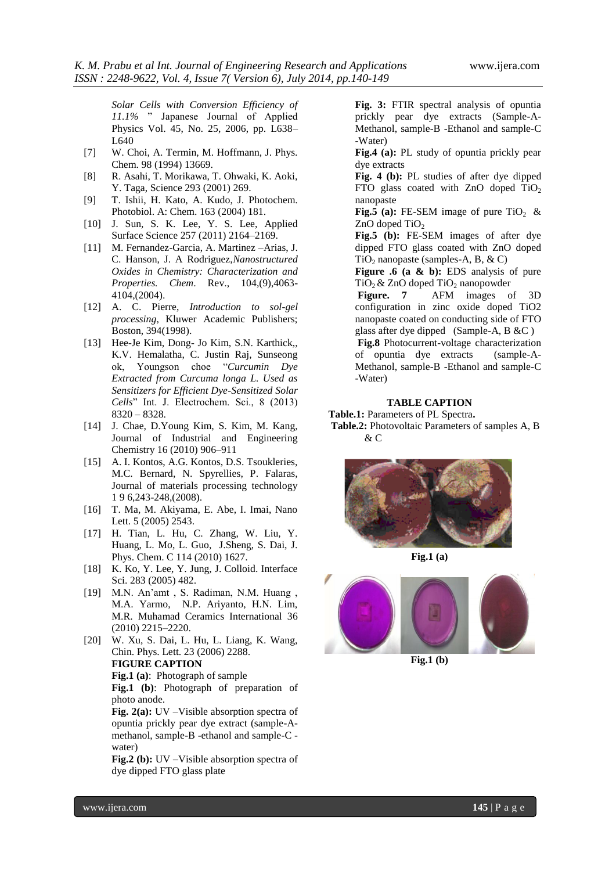*Solar Cells with Conversion Efficiency of 11.1%* " Japanese Journal of Applied Physics Vol. 45, No. 25, 2006, pp. L638– L640

- [7] W. Choi, A. Termin, M. Hoffmann, J. Phys. Chem. 98 (1994) 13669.
- [8] R. Asahi, T. Morikawa, T. Ohwaki, K. Aoki, Y. Taga, Science 293 (2001) 269.
- [9] T. Ishii, H. Kato, A. Kudo, J. Photochem. Photobiol. A: Chem. 163 (2004) 181.
- [10] J. Sun, S. K. Lee, Y. S. Lee, Applied Surface Science 257 (2011) 2164–2169.
- [11] M. Fernandez-Garcia, A. Martinez –Arias, J. C. Hanson, J. A Rodriguez,*Nanostructured Oxides in Chemistry: Characterization and Properties. Chem*. Rev., 104,(9),4063- 4104,(2004).
- [12] A. C. Pierre, *Introduction to sol-gel processing*, Kluwer Academic Publishers; Boston, 394(1998).
- [13] Hee-Je Kim, Dong- Jo Kim, S.N. Karthick,, K.V. Hemalatha, C. Justin Raj, Sunseong ok, Youngson choe "*Curcumin Dye Extracted from Curcuma longa L. Used as Sensitizers for Efficient Dye-Sensitized Solar Cells*" Int. J. Electrochem. Sci., 8 (2013) 8320 – 8328.
- [14] J. Chae, D.Young Kim, S. Kim, M. Kang, Journal of Industrial and Engineering Chemistry 16 (2010) 906–911
- [15] A. I. Kontos, A.G. Kontos, D.S. Tsoukleries, M.C. Bernard, N. Spyrellies, P. Falaras, Journal of materials processing technology 1 9 6,243-248,(2008).
- [16] T. Ma, M. Akiyama, E. Abe, I. Imai, Nano Lett. 5 (2005) 2543.
- [17] H. Tian, L. Hu, C. Zhang, W. Liu, Y. Huang, L. Mo, L. Guo, J.Sheng, S. Dai, J. Phys. Chem. C 114 (2010) 1627.
- [18] K. Ko, Y. Lee, Y. Jung, J. Colloid. Interface Sci. 283 (2005) 482.
- [19] M.N. An'amt , S. Radiman, N.M. Huang , M.A. Yarmo, N.P. Ariyanto, H.N. Lim, M.R. Muhamad Ceramics International 36 (2010) 2215–2220.
- [20] W. Xu, S. Dai, L. Hu, L. Liang, K. Wang, Chin. Phys. Lett. 23 (2006) 2288. **FIGURE CAPTION Fig.1 (a)**: Photograph of sample **Fig.1 (b)**: Photograph of preparation of photo anode.

**Fig. 2(a):** UV –Visible absorption spectra of opuntia prickly pear dye extract (sample-Amethanol, sample-B -ethanol and sample-C water)

**Fig.2 (b):** UV –Visible absorption spectra of dye dipped FTO glass plate

**Fig. 3:** FTIR spectral analysis of opuntia prickly pear dye extracts (Sample-A-Methanol, sample-B -Ethanol and sample-C -Water)

**Fig.4 (a):** PL study of opuntia prickly pear dye extracts

**Fig. 4 (b):** PL studies of after dye dipped FTO glass coated with  $ZnO$  doped  $TiO<sub>2</sub>$ nanopaste

**Fig.5 (a):** FE-SEM image of pure TiO<sub>2</sub> &  $ZnO$  doped TiO<sub>2</sub>

**Fig.5 (b):** FE-SEM images of after dye dipped FTO glass coated with ZnO doped  $TiO<sub>2</sub>$  nanopaste (samples-A, B, & C)

**Figure .6 (a & b):** EDS analysis of pure  $TiO<sub>2</sub>$  & ZnO doped TiO<sub>2</sub> nanopowder<br>**Figure.** 7 AFM images o

**Figure. 7** AFM images of 3D configuration in zinc oxide doped TiO2 nanopaste coated on conducting side of FTO glass after dye dipped (Sample-A, B &C )

**Fig.8** Photocurrent-voltage characterization of opuntia dye extracts (sample-A-Methanol, sample-B -Ethanol and sample-C -Water)

# **TABLE CAPTION**

#### **Table.1:** Parameters of PL Spectra**. Table.2:** Photovoltaic Parameters of samples A, B & C



**Fig.1 (a)**



**Fig.1 (b)**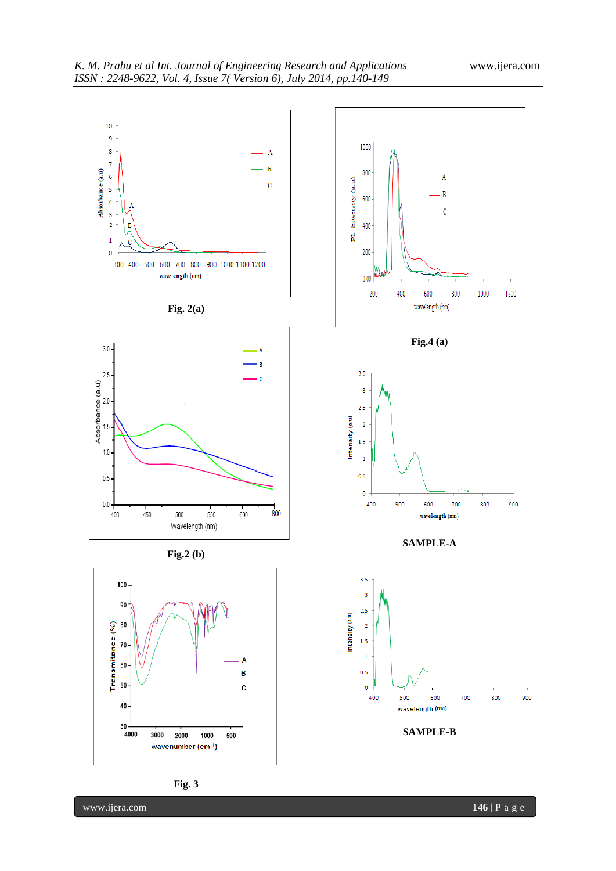1000

800

900

1200



www.ijera.com **146** | P a g e

800

900

700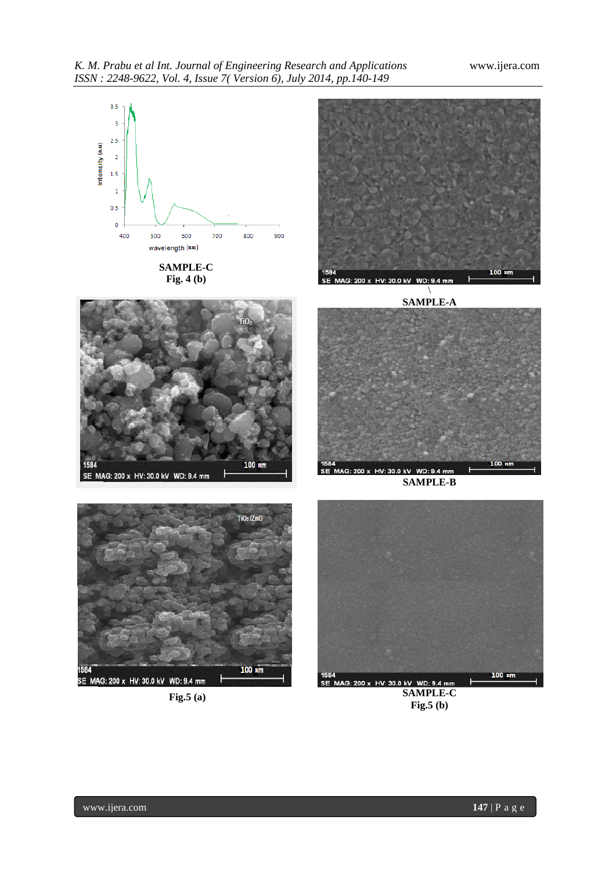

**SAMPLE-C Fig. 4 (b)**



\ **SAMPLE-A**





**SAMPLE-B**



**Fig.5 (a)**



**SAMPLE-C Fig.5 (b)**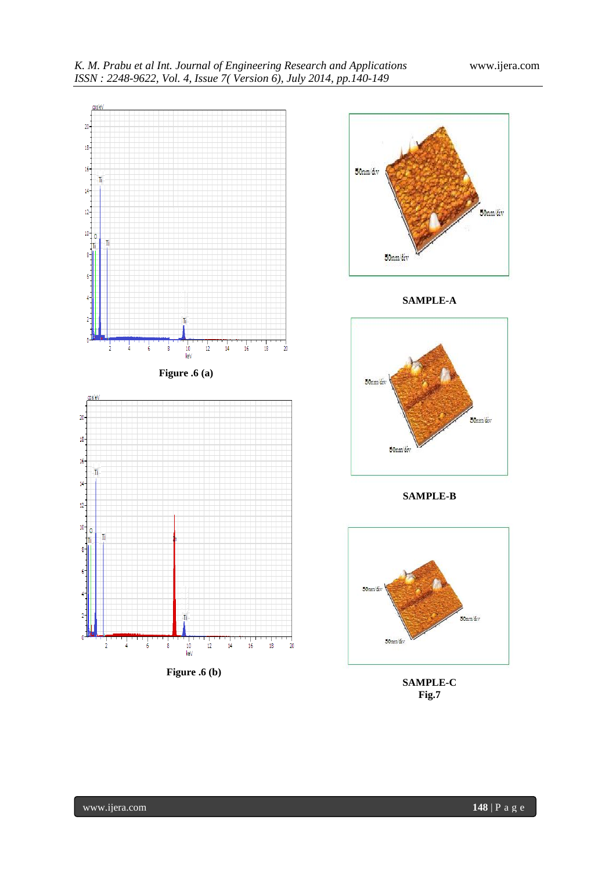



**SAMPLE-A**



**SAMPLE-B**



**SAMPLE-C Fig.7**